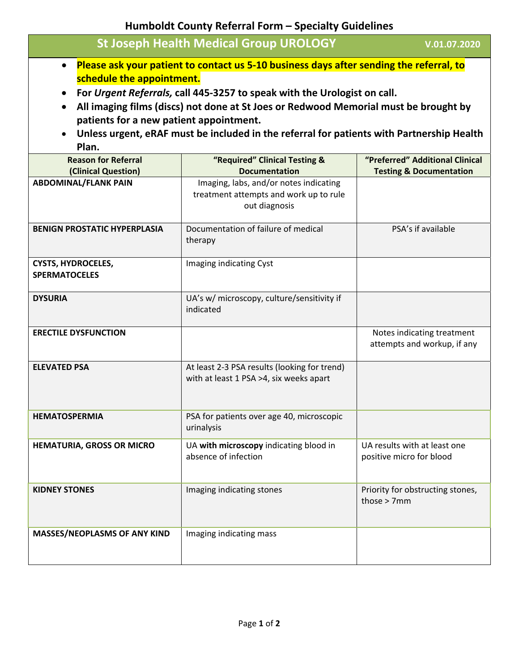**Humboldt County Referral Form – Specialty Guidelines**

|                                                                                                                                                                                            | <b>St Joseph Health Medical Group UROLOGY</b>                                                     | V.01.07.2020                                              |  |
|--------------------------------------------------------------------------------------------------------------------------------------------------------------------------------------------|---------------------------------------------------------------------------------------------------|-----------------------------------------------------------|--|
| Please ask your patient to contact us 5-10 business days after sending the referral, to<br>$\bullet$                                                                                       |                                                                                                   |                                                           |  |
| schedule the appointment.                                                                                                                                                                  |                                                                                                   |                                                           |  |
| For Urgent Referrals, call 445-3257 to speak with the Urologist on call.<br>$\bullet$<br>All imaging films (discs) not done at St Joes or Redwood Memorial must be brought by<br>$\bullet$ |                                                                                                   |                                                           |  |
| patients for a new patient appointment.                                                                                                                                                    |                                                                                                   |                                                           |  |
| Unless urgent, eRAF must be included in the referral for patients with Partnership Health<br>$\bullet$                                                                                     |                                                                                                   |                                                           |  |
| Plan.<br><b>Reason for Referral</b>                                                                                                                                                        | "Required" Clinical Testing &                                                                     | "Preferred" Additional Clinical                           |  |
| (Clinical Question)                                                                                                                                                                        | <b>Documentation</b>                                                                              | <b>Testing &amp; Documentation</b>                        |  |
| <b>ABDOMINAL/FLANK PAIN</b>                                                                                                                                                                | Imaging, labs, and/or notes indicating<br>treatment attempts and work up to rule<br>out diagnosis |                                                           |  |
| <b>BENIGN PROSTATIC HYPERPLASIA</b>                                                                                                                                                        | Documentation of failure of medical<br>therapy                                                    | PSA's if available                                        |  |
| <b>CYSTS, HYDROCELES,</b><br><b>SPERMATOCELES</b>                                                                                                                                          | Imaging indicating Cyst                                                                           |                                                           |  |
| <b>DYSURIA</b>                                                                                                                                                                             | UA's w/ microscopy, culture/sensitivity if<br>indicated                                           |                                                           |  |
| <b>ERECTILE DYSFUNCTION</b>                                                                                                                                                                |                                                                                                   | Notes indicating treatment<br>attempts and workup, if any |  |
| <b>ELEVATED PSA</b>                                                                                                                                                                        | At least 2-3 PSA results (looking for trend)<br>with at least 1 PSA >4, six weeks apart           |                                                           |  |
| <b>HEMATOSPERMIA</b>                                                                                                                                                                       | PSA for patients over age 40, microscopic<br>urinalysis                                           |                                                           |  |
| HEMATURIA, GROSS OR MICRO                                                                                                                                                                  | UA with microscopy indicating blood in<br>absence of infection                                    | UA results with at least one<br>positive micro for blood  |  |
| <b>KIDNEY STONES</b>                                                                                                                                                                       | Imaging indicating stones                                                                         | Priority for obstructing stones,<br>those $> 7$ mm        |  |
| <b>MASSES/NEOPLASMS OF ANY KIND</b>                                                                                                                                                        | Imaging indicating mass                                                                           |                                                           |  |